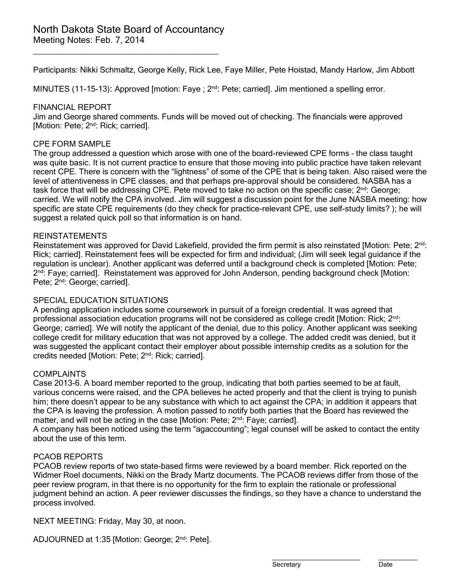\_\_\_\_\_\_\_\_\_\_\_\_\_\_\_\_\_\_\_\_\_\_\_\_\_\_\_\_\_\_\_\_\_\_\_\_\_\_

Participants: Nikki Schmaltz, George Kelly, Rick Lee, Faye Miller, Pete Hoistad, Mandy Harlow, Jim Abbott

MINUTES (11-15-13): Approved [motion: Faye ; 2<sup>nd</sup>: Pete; carried]. Jim mentioned a spelling error.

#### FINANCIAL REPORT

Jim and George shared comments. Funds will be moved out of checking. The financials were approved [Motion: Pete; 2<sup>nd</sup>: Rick; carried].

#### CPF FORM SAMPLE

The group addressed a question which arose with one of the board-reviewed CPE forms – the class taught was quite basic. It is not current practice to ensure that those moving into public practice have taken relevant recent CPE. There is concern with the "lightness" of some of the CPE that is being taken. Also raised were the level of attentiveness in CPE classes, and that perhaps pre-approval should be considered. NASBA has a task force that will be addressing CPE. Pete moved to take no action on the specific case;  $2^{nd}$ : George; carried. We will notify the CPA involved. Jim will suggest a discussion point for the June NASBA meeting: how specific are state CPE requirements (do they check for practice-relevant CPE, use self-study limits? ); he will suggest a related quick poll so that information is on hand.

#### REINSTATEMENTS

Reinstatement was approved for David Lakefield, provided the firm permit is also reinstated [Motion: Pete; 2<sup>nd</sup>: Rick; carried]. Reinstatement fees will be expected for firm and individual; (Jim will seek legal guidance if the regulation is unclear). Another applicant was deferred until a background check is completed [Motion: Pete;  $2<sup>nd</sup>$ : Fave: carried]. Reinstatement was approved for John Anderson, pending background check [Motion: Pete; 2<sup>nd</sup>: George; carried].

## SPECIAL EDUCATION SITUATIONS

A pending application includes some coursework in pursuit of a foreign credential. It was agreed that professional association education programs will not be considered as college credit [Motion: Rick; 2<sup>nd</sup>: George; carried]. We will notify the applicant of the denial, due to this policy. Another applicant was seeking college credit for military education that was not approved by a college. The added credit was denied, but it was suggested the applicant contact their employer about possible internship credits as a solution for the credits needed [Motion: Pete; 2<sup>nd</sup>: Rick; carried].

#### **COMPLAINTS**

Case 2013-6. A board member reported to the group, indicating that both parties seemed to be at fault, various concerns were raised, and the CPA believes he acted properly and that the client is trying to punish him; there doesn't appear to be any substance with which to act against the CPA; in addition it appears that the CPA is leaving the profession. A motion passed to notify both parties that the Board has reviewed the matter, and will not be acting in the case [Motion: Pete; 2<sup>nd</sup>: Faye; carried].

A company has been noticed using the term "agaccounting"; legal counsel will be asked to contact the entity about the use of this term.

#### PCAOB REPORTS

PCAOB review reports of two state-based firms were reviewed by a board member. Rick reported on the Widmer Roel documents, Nikki on the Brady Martz documents. The PCAOB reviews differ from those of the peer review program, in that there is no opportunity for the firm to explain the rationale or professional judgment behind an action. A peer reviewer discusses the findings, so they have a chance to understand the process involved.

NEXT MEETING: Friday, May 30, at noon.

ADJOURNED at 1:35 [Motion: George; 2<sup>nd</sup>: Pete].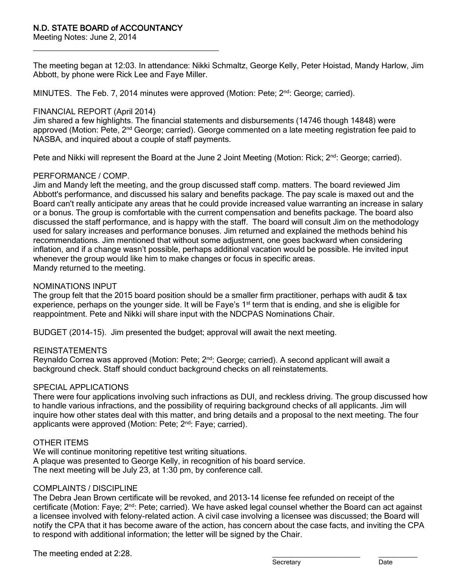\_\_\_\_\_\_\_\_\_\_\_\_\_\_\_\_\_\_\_\_\_\_\_\_\_\_\_\_\_\_\_\_\_\_\_\_\_\_

Meeting Notes: June 2, 2014

The meeting began at 12:03. In attendance: Nikki Schmaltz, George Kelly, Peter Hoistad, Mandy Harlow, Jim Abbott, by phone were Rick Lee and Faye Miller.

MINUTES. The Feb. 7, 2014 minutes were approved (Motion: Pete:  $2<sup>nd</sup>$ : George: carried).

## FINANCIAL REPORT (April 2014)

Jim shared a few highlights. The financial statements and disbursements (14746 though 14848) were approved (Motion: Pete, 2<sup>nd</sup> George; carried). George commented on a late meeting registration fee paid to NASBA, and inquired about a couple of staff payments.

Pete and Nikki will represent the Board at the June 2 Joint Meeting (Motion: Rick; 2<sup>nd</sup>: George; carried).

## PERFORMANCE / COMP.

Jim and Mandy left the meeting, and the group discussed staff comp. matters. The board reviewed Jim Abbott's performance, and discussed his salary and benefits package. The pay scale is maxed out and the Board can't really anticipate any areas that he could provide increased value warranting an increase in salary or a bonus. The group is comfortable with the current compensation and benefits package. The board also discussed the staff performance, and is happy with the staff. The board will consult Jim on the methodology used for salary increases and performance bonuses. Jim returned and explained the methods behind his recommendations. Jim mentioned that without some adjustment, one goes backward when considering inflation, and if a change wasn't possible, perhaps additional vacation would be possible. He invited input whenever the group would like him to make changes or focus in specific areas. Mandy returned to the meeting.

## NOMINATIONS INPUT

The group felt that the 2015 board position should be a smaller firm practitioner, perhaps with audit & tax experience, perhaps on the younger side. It will be Faye's 1<sup>st</sup> term that is ending, and she is eligible for reappointment. Pete and Nikki will share input with the NDCPAS Nominations Chair.

BUDGET (2014-15). Jim presented the budget; approval will await the next meeting.

## REINSTATEMENTS

Reynaldo Correa was approved (Motion: Pete; 2<sup>nd</sup>: George; carried). A second applicant will await a background check. Staff should conduct background checks on all reinstatements.

#### SPECIAL APPLICATIONS

There were four applications involving such infractions as DUI, and reckless driving. The group discussed how to handle various infractions, and the possibility of requiring background checks of all applicants. Jim will inquire how other states deal with this matter, and bring details and a proposal to the next meeting. The four applicants were approved (Motion: Pete; 2<sup>nd</sup>: Faye; carried).

#### OTHER ITEMS

We will continue monitoring repetitive test writing situations. A plaque was presented to George Kelly, in recognition of his board service. The next meeting will be July 23, at 1:30 pm, by conference call.

## COMPLAINTS / DISCIPLINE

The Debra Jean Brown certificate will be revoked, and 2013-14 license fee refunded on receipt of the certificate (Motion: Faye; 2<sup>nd</sup>: Pete; carried). We have asked legal counsel whether the Board can act against a licensee involved with felony-related action. A civil case involving a licensee was discussed; the Board will notify the CPA that it has become aware of the action, has concern about the case facts, and inviting the CPA to respond with additional information; the letter will be signed by the Chair.

The meeting ended at 2:28.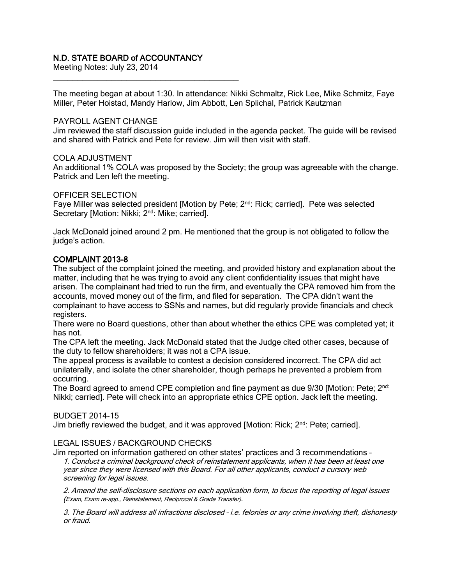## N.D. STATE BOARD of ACCOUNTANCY

Meeting Notes: July 23, 2014 \_\_\_\_\_\_\_\_\_\_\_\_\_\_\_\_\_\_\_\_\_\_\_\_\_\_\_\_\_\_\_\_\_\_\_\_\_\_

The meeting began at about 1:30. In attendance: Nikki Schmaltz, Rick Lee, Mike Schmitz, Faye Miller, Peter Hoistad, Mandy Harlow, Jim Abbott, Len Splichal, Patrick Kautzman

#### PAYROLL AGENT CHANGE

Jim reviewed the staff discussion guide included in the agenda packet. The guide will be revised and shared with Patrick and Pete for review. Jim will then visit with staff.

## COLA ADJUSTMENT

An additional 1% COLA was proposed by the Society; the group was agreeable with the change. Patrick and Len left the meeting.

#### OFFICER SELECTION

Faye Miller was selected president [Motion by Pete; 2<sup>nd</sup>: Rick; carried]. Pete was selected Secretary [Motion: Nikki; 2<sup>nd</sup>: Mike; carried].

Jack McDonald joined around 2 pm. He mentioned that the group is not obligated to follow the judge's action.

## COMPLAINT 2013-8

The subject of the complaint joined the meeting, and provided history and explanation about the matter, including that he was trying to avoid any client confidentiality issues that might have arisen. The complainant had tried to run the firm, and eventually the CPA removed him from the accounts, moved money out of the firm, and filed for separation. The CPA didn't want the complainant to have access to SSNs and names, but did regularly provide financials and check registers.

There were no Board questions, other than about whether the ethics CPE was completed yet; it has not.

The CPA left the meeting. Jack McDonald stated that the Judge cited other cases, because of the duty to fellow shareholders; it was not a CPA issue.

The appeal process is available to contest a decision considered incorrect. The CPA did act unilaterally, and isolate the other shareholder, though perhaps he prevented a problem from occurring.

The Board agreed to amend CPE completion and fine payment as due 9/30 [Motion: Pete; 2<sup>nd:</sup> Nikki; carried]. Pete will check into an appropriate ethics CPE option. Jack left the meeting.

#### BUDGET 2014-15

Jim briefly reviewed the budget, and it was approved [Motion: Rick; 2<sup>nd</sup>: Pete; carried].

## LEGAL ISSUES / BACKGROUND CHECKS

Jim reported on information gathered on other states' practices and 3 recommendations – 1. Conduct a criminal background check of reinstatement applicants, when it has been at least one year since they were licensed with this Board. For all other applicants, conduct a cursory web screening for legal issues.

2. Amend the self-disclosure sections on each application form, to focus the reporting of legal issues (Exam, Exam re-app., Reinstatement, Reciprocal & Grade Transfer).

3. The Board will address all infractions disclosed – i.e. felonies or any crime involving theft, dishonesty or fraud.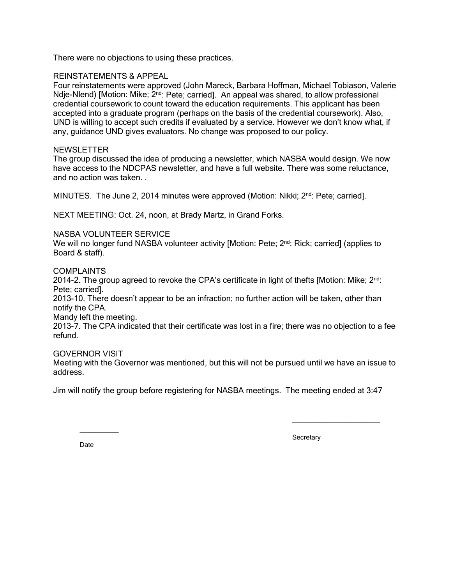There were no objections to using these practices.

## REINSTATEMENTS & APPEAL

Four reinstatements were approved (John Mareck, Barbara Hoffman, Michael Tobiason, Valerie Ndje-Nlend) [Motion: Mike; 2<sup>nd</sup>: Pete; carried]. An appeal was shared, to allow professional credential coursework to count toward the education requirements. This applicant has been accepted into a graduate program (perhaps on the basis of the credential coursework). Also, UND is willing to accept such credits if evaluated by a service. However we don't know what, if any, guidance UND gives evaluators. No change was proposed to our policy.

#### NEWSLETTER

The group discussed the idea of producing a newsletter, which NASBA would design. We now have access to the NDCPAS newsletter, and have a full website. There was some reluctance, and no action was taken. .

MINUTES. The June 2, 2014 minutes were approved (Motion: Nikki; 2<sup>nd</sup>: Pete; carried].

NEXT MEETING: Oct. 24, noon, at Brady Martz, in Grand Forks.

#### NASBA VOLUNTEER SERVICE

We will no longer fund NASBA volunteer activity [Motion: Pete; 2<sup>nd</sup>: Rick; carried] (applies to Board & staff).

#### COMPLAINTS

2014-2. The group agreed to revoke the CPA's certificate in light of thefts [Motion: Mike;  $2<sup>nd</sup>$ : Pete; carried].

2013-10. There doesn't appear to be an infraction; no further action will be taken, other than notify the CPA.

Mandy left the meeting.

2013-7. The CPA indicated that their certificate was lost in a fire; there was no objection to a fee refund.

#### GOVERNOR VISIT

Meeting with the Governor was mentioned, but this will not be pursued until we have an issue to address.

Jim will notify the group before registering for NASBA meetings. The meeting ended at 3:47

Date<sub>b</sub>

 $\overline{\phantom{a}}$ 

**Secretary** 

\_\_\_\_\_\_\_\_\_\_\_\_\_\_\_\_\_\_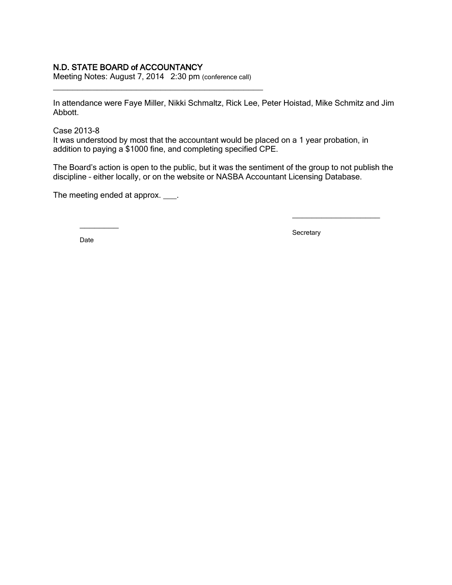## N.D. STATE BOARD of ACCOUNTANCY

Meeting Notes: August 7, 2014 2:30 pm (conference call)

\_\_\_\_\_\_\_\_\_\_\_\_\_\_\_\_\_\_\_\_\_\_\_\_\_\_\_\_\_\_\_\_\_\_\_\_\_\_\_\_\_\_\_

In attendance were Faye Miller, Nikki Schmaltz, Rick Lee, Peter Hoistad, Mike Schmitz and Jim Abbott.

#### Case 2013-8

It was understood by most that the accountant would be placed on a 1 year probation, in addition to paying a \$1000 fine, and completing specified CPE.

The Board's action is open to the public, but it was the sentiment of the group to not publish the discipline – either locally, or on the website or NASBA Accountant Licensing Database.

The meeting ended at approx.  $\blacksquare$ .

Date

 $\overline{\phantom{a}}$ 

**Secretary** 

\_\_\_\_\_\_\_\_\_\_\_\_\_\_\_\_\_\_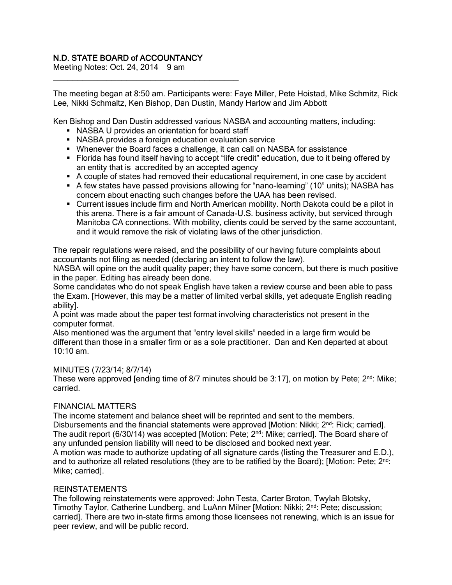# N.D. STATE BOARD of ACCOUNTANCY

Meeting Notes: Oct. 24, 2014 9 am

The meeting began at 8:50 am. Participants were: Faye Miller, Pete Hoistad, Mike Schmitz, Rick Lee, Nikki Schmaltz, Ken Bishop, Dan Dustin, Mandy Harlow and Jim Abbott

Ken Bishop and Dan Dustin addressed various NASBA and accounting matters, including:

NASBA U provides an orientation for board staff

\_\_\_\_\_\_\_\_\_\_\_\_\_\_\_\_\_\_\_\_\_\_\_\_\_\_\_\_\_\_\_\_\_\_\_\_\_\_

- NASBA provides a foreign education evaluation service
- Whenever the Board faces a challenge, it can call on NASBA for assistance
- Florida has found itself having to accept "life credit" education, due to it being offered by an entity that is accredited by an accepted agency
- A couple of states had removed their educational requirement, in one case by accident
- A few states have passed provisions allowing for "nano-learning" (10" units); NASBA has concern about enacting such changes before the UAA has been revised.
- Current issues include firm and North American mobility. North Dakota could be a pilot in this arena. There is a fair amount of Canada-U.S. business activity, but serviced through Manitoba CA connections. With mobility, clients could be served by the same accountant, and it would remove the risk of violating laws of the other jurisdiction.

The repair regulations were raised, and the possibility of our having future complaints about accountants not filing as needed (declaring an intent to follow the law).

NASBA will opine on the audit quality paper; they have some concern, but there is much positive in the paper. Editing has already been done.

Some candidates who do not speak English have taken a review course and been able to pass the Exam. [However, this may be a matter of limited verbal skills, yet adequate English reading ability].

A point was made about the paper test format involving characteristics not present in the computer format.

Also mentioned was the argument that "entry level skills" needed in a large firm would be different than those in a smaller firm or as a sole practitioner. Dan and Ken departed at about 10:10 am.

#### MINUTES (7/23/14; 8/7/14)

These were approved [ending time of 8/7 minutes should be  $3:17$ ], on motion by Pete;  $2<sup>nd</sup>$ : Mike; carried.

## FINANCIAL MATTERS

The income statement and balance sheet will be reprinted and sent to the members. Disbursements and the financial statements were approved [Motion: Nikki; 2<sup>nd</sup>: Rick; carried]. The audit report (6/30/14) was accepted [Motion: Pete;  $2^{nd}$ : Mike; carried]. The Board share of any unfunded pension liability will need to be disclosed and booked next year. A motion was made to authorize updating of all signature cards (listing the Treasurer and E.D.), and to authorize all related resolutions (they are to be ratified by the Board); [Motion: Pete;  $2^{nd}$ : Mike; carried].

#### REINSTATEMENTS

The following reinstatements were approved: John Testa, Carter Broton, Twylah Blotsky, Timothy Taylor, Catherine Lundberg, and LuAnn Milner [Motion: Nikki; 2<sup>nd</sup>: Pete; discussion; carried]. There are two in-state firms among those licensees not renewing, which is an issue for peer review, and will be public record.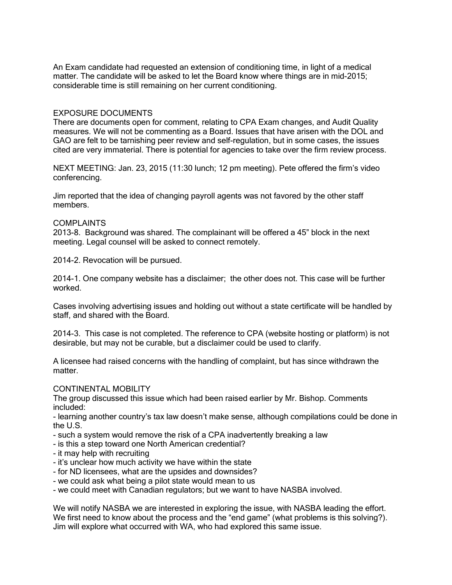An Exam candidate had requested an extension of conditioning time, in light of a medical matter. The candidate will be asked to let the Board know where things are in mid-2015; considerable time is still remaining on her current conditioning.

#### EXPOSURE DOCUMENTS

There are documents open for comment, relating to CPA Exam changes, and Audit Quality measures. We will not be commenting as a Board. Issues that have arisen with the DOL and GAO are felt to be tarnishing peer review and self-regulation, but in some cases, the issues cited are very immaterial. There is potential for agencies to take over the firm review process.

NEXT MEETING: Jan. 23, 2015 (11:30 lunch; 12 pm meeting). Pete offered the firm's video conferencing.

Jim reported that the idea of changing payroll agents was not favored by the other staff members.

#### COMPLAINTS

2013-8. Background was shared. The complainant will be offered a 45" block in the next meeting. Legal counsel will be asked to connect remotely.

2014-2. Revocation will be pursued.

2014-1. One company website has a disclaimer; the other does not. This case will be further worked.

Cases involving advertising issues and holding out without a state certificate will be handled by staff, and shared with the Board.

2014-3. This case is not completed. The reference to CPA (website hosting or platform) is not desirable, but may not be curable, but a disclaimer could be used to clarify.

A licensee had raised concerns with the handling of complaint, but has since withdrawn the matter.

#### CONTINENTAL MOBILITY

The group discussed this issue which had been raised earlier by Mr. Bishop. Comments included:

- learning another country's tax law doesn't make sense, although compilations could be done in the U.S.

- such a system would remove the risk of a CPA inadvertently breaking a law
- is this a step toward one North American credential?
- it may help with recruiting
- it's unclear how much activity we have within the state
- for ND licensees, what are the upsides and downsides?
- we could ask what being a pilot state would mean to us
- we could meet with Canadian regulators; but we want to have NASBA involved.

We will notify NASBA we are interested in exploring the issue, with NASBA leading the effort. We first need to know about the process and the "end game" (what problems is this solving?). Jim will explore what occurred with WA, who had explored this same issue.